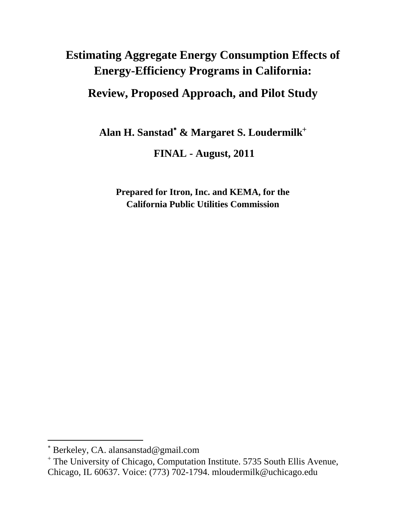# **Estimating Aggregate Energy Consumption Effects of Energy-Efficiency Programs in California:**

# **Review, Proposed Approach, and Pilot Study**

**Alan H. Sanstad**<sup>∗</sup>  **& Margaret S. Loudermilk**<sup>+</sup>

 **FINAL - August, 2011** 

**Prepared for Itron, Inc. and KEMA, for the California Public Utilities Commission** 

<sup>∗</sup> Berkeley, CA. alansanstad@gmail.com

<sup>&</sup>lt;sup>+</sup> The University of Chicago, Computation Institute. 5735 South Ellis Avenue, Chicago, IL 60637. Voice: (773) 702-1794. mloudermilk@uchicago.edu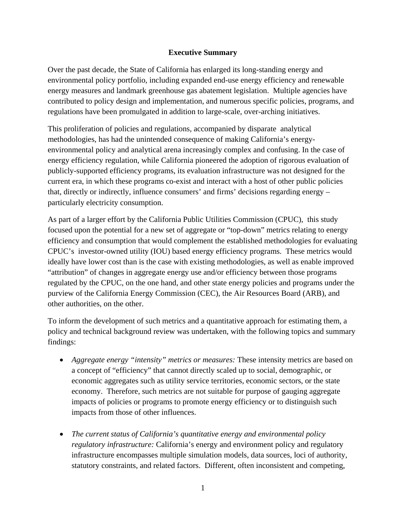### **Executive Summary**

Over the past decade, the State of California has enlarged its long-standing energy and environmental policy portfolio, including expanded end-use energy efficiency and renewable energy measures and landmark greenhouse gas abatement legislation. Multiple agencies have contributed to policy design and implementation, and numerous specific policies, programs, and regulations have been promulgated in addition to large-scale, over-arching initiatives.

This proliferation of policies and regulations, accompanied by disparate analytical methodologies, has had the unintended consequence of making California's energyenvironmental policy and analytical arena increasingly complex and confusing. In the case of energy efficiency regulation, while California pioneered the adoption of rigorous evaluation of publicly-supported efficiency programs, its evaluation infrastructure was not designed for the current era, in which these programs co-exist and interact with a host of other public policies that, directly or indirectly, influence consumers' and firms' decisions regarding energy – particularly electricity consumption.

As part of a larger effort by the California Public Utilities Commission (CPUC), this study focused upon the potential for a new set of aggregate or "top-down" metrics relating to energy efficiency and consumption that would complement the established methodologies for evaluating CPUC's investor-owned utility (IOU) based energy efficiency programs. These metrics would ideally have lower cost than is the case with existing methodologies, as well as enable improved "attribution" of changes in aggregate energy use and/or efficiency between those programs regulated by the CPUC, on the one hand, and other state energy policies and programs under the purview of the California Energy Commission (CEC), the Air Resources Board (ARB), and other authorities, on the other.

To inform the development of such metrics and a quantitative approach for estimating them, a policy and technical background review was undertaken, with the following topics and summary findings:

- *Aggregate energy "intensity" metrics or measures:* These intensity metrics are based on a concept of "efficiency" that cannot directly scaled up to social, demographic, or economic aggregates such as utility service territories, economic sectors, or the state economy. Therefore, such metrics are not suitable for purpose of gauging aggregate impacts of policies or programs to promote energy efficiency or to distinguish such impacts from those of other influences.
- *The current status of California's quantitative energy and environmental policy regulatory infrastructure:* California's energy and environment policy and regulatory infrastructure encompasses multiple simulation models, data sources, loci of authority, statutory constraints, and related factors. Different, often inconsistent and competing,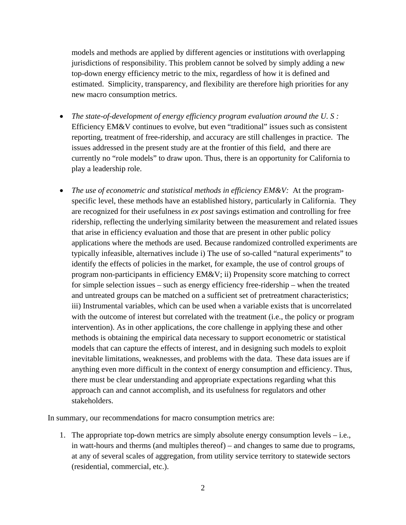models and methods are applied by different agencies or institutions with overlapping jurisdictions of responsibility. This problem cannot be solved by simply adding a new top-down energy efficiency metric to the mix, regardless of how it is defined and estimated. Simplicity, transparency, and flexibility are therefore high priorities for any new macro consumption metrics.

- *The state-of-development of energy efficiency program evaluation around the U. S :*  Efficiency EM&V continues to evolve, but even "traditional" issues such as consistent reporting, treatment of free-ridership, and accuracy are still challenges in practice. The issues addressed in the present study are at the frontier of this field, and there are currently no "role models" to draw upon. Thus, there is an opportunity for California to play a leadership role.
- *The use of econometric and statistical methods in efficiency EM&V:* At the programspecific level, these methods have an established history, particularly in California. They are recognized for their usefulness in *ex post* savings estimation and controlling for free ridership, reflecting the underlying similarity between the measurement and related issues that arise in efficiency evaluation and those that are present in other public policy applications where the methods are used. Because randomized controlled experiments are typically infeasible, alternatives include i) The use of so-called "natural experiments" to identify the effects of policies in the market, for example, the use of control groups of program non-participants in efficiency EM&V; ii) Propensity score matching to correct for simple selection issues – such as energy efficiency free-ridership – when the treated and untreated groups can be matched on a sufficient set of pretreatment characteristics; iii) Instrumental variables, which can be used when a variable exists that is uncorrelated with the outcome of interest but correlated with the treatment (i.e., the policy or program intervention). As in other applications, the core challenge in applying these and other methods is obtaining the empirical data necessary to support econometric or statistical models that can capture the effects of interest, and in designing such models to exploit inevitable limitations, weaknesses, and problems with the data. These data issues are if anything even more difficult in the context of energy consumption and efficiency. Thus, there must be clear understanding and appropriate expectations regarding what this approach can and cannot accomplish, and its usefulness for regulators and other stakeholders.

In summary, our recommendations for macro consumption metrics are:

1. The appropriate top-down metrics are simply absolute energy consumption levels – i.e., in watt-hours and therms (and multiples thereof) – and changes to same due to programs, at any of several scales of aggregation, from utility service territory to statewide sectors (residential, commercial, etc.).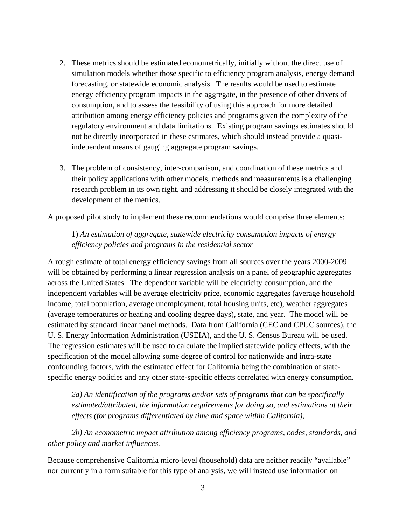- 2. These metrics should be estimated econometrically, initially without the direct use of simulation models whether those specific to efficiency program analysis, energy demand forecasting, or statewide economic analysis. The results would be used to estimate energy efficiency program impacts in the aggregate, in the presence of other drivers of consumption, and to assess the feasibility of using this approach for more detailed attribution among energy efficiency policies and programs given the complexity of the regulatory environment and data limitations. Existing program savings estimates should not be directly incorporated in these estimates, which should instead provide a quasiindependent means of gauging aggregate program savings.
- 3. The problem of consistency, inter-comparison, and coordination of these metrics and their policy applications with other models, methods and measurements is a challenging research problem in its own right, and addressing it should be closely integrated with the development of the metrics.

A proposed pilot study to implement these recommendations would comprise three elements:

1) *An estimation of aggregate, statewide electricity consumption impacts of energy efficiency policies and programs in the residential sector*

A rough estimate of total energy efficiency savings from all sources over the years 2000-2009 will be obtained by performing a linear regression analysis on a panel of geographic aggregates across the United States. The dependent variable will be electricity consumption, and the independent variables will be average electricity price, economic aggregates (average household income, total population, average unemployment, total housing units, etc), weather aggregates (average temperatures or heating and cooling degree days), state, and year. The model will be estimated by standard linear panel methods. Data from California (CEC and CPUC sources), the U. S. Energy Information Administration (USEIA), and the U. S. Census Bureau will be used. The regression estimates will be used to calculate the implied statewide policy effects, with the specification of the model allowing some degree of control for nationwide and intra-state confounding factors, with the estimated effect for California being the combination of statespecific energy policies and any other state-specific effects correlated with energy consumption.

*2a) An identification of the programs and/or sets of programs that can be specifically estimated/attributed, the information requirements for doing so, and estimations of their effects (for programs differentiated by time and space within California);* 

*2b) An econometric impact attribution among efficiency programs, codes, standards, and other policy and market influences.* 

Because comprehensive California micro-level (household) data are neither readily "available" nor currently in a form suitable for this type of analysis, we will instead use information on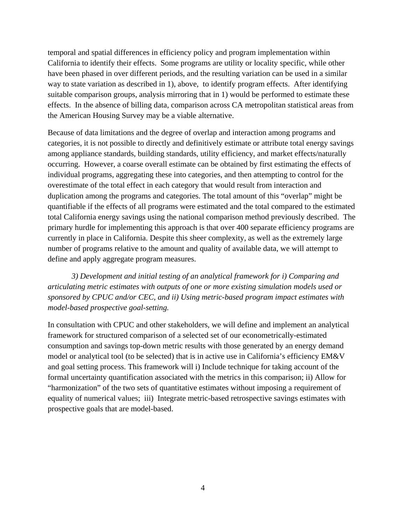temporal and spatial differences in efficiency policy and program implementation within California to identify their effects. Some programs are utility or locality specific, while other have been phased in over different periods, and the resulting variation can be used in a similar way to state variation as described in 1), above, to identify program effects. After identifying suitable comparison groups, analysis mirroring that in 1) would be performed to estimate these effects. In the absence of billing data, comparison across CA metropolitan statistical areas from the American Housing Survey may be a viable alternative.

Because of data limitations and the degree of overlap and interaction among programs and categories, it is not possible to directly and definitively estimate or attribute total energy savings among appliance standards, building standards, utility efficiency, and market effects/naturally occurring. However, a coarse overall estimate can be obtained by first estimating the effects of individual programs, aggregating these into categories, and then attempting to control for the overestimate of the total effect in each category that would result from interaction and duplication among the programs and categories. The total amount of this "overlap" might be quantifiable if the effects of all programs were estimated and the total compared to the estimated total California energy savings using the national comparison method previously described. The primary hurdle for implementing this approach is that over 400 separate efficiency programs are currently in place in California. Despite this sheer complexity, as well as the extremely large number of programs relative to the amount and quality of available data, we will attempt to define and apply aggregate program measures.

*3) Development and initial testing of an analytical framework for i) Comparing and articulating metric estimates with outputs of one or more existing simulation models used or sponsored by CPUC and/or CEC, and ii) Using metric-based program impact estimates with model-based prospective goal-setting.* 

In consultation with CPUC and other stakeholders, we will define and implement an analytical framework for structured comparison of a selected set of our econometrically-estimated consumption and savings top-down metric results with those generated by an energy demand model or analytical tool (to be selected) that is in active use in California's efficiency EM&V and goal setting process. This framework will i) Include technique for taking account of the formal uncertainty quantification associated with the metrics in this comparison; ii) Allow for "harmonization" of the two sets of quantitative estimates without imposing a requirement of equality of numerical values; iii) Integrate metric-based retrospective savings estimates with prospective goals that are model-based.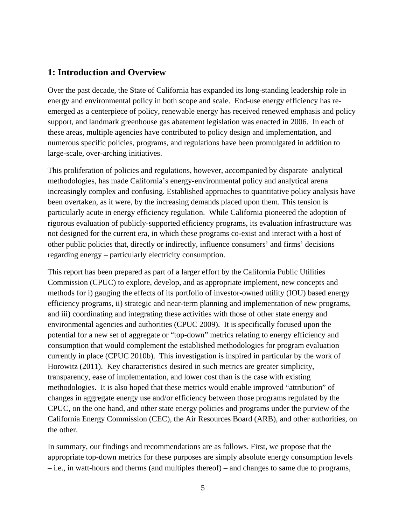# **1: Introduction and Overview**

Over the past decade, the State of California has expanded its long-standing leadership role in energy and environmental policy in both scope and scale. End-use energy efficiency has reemerged as a centerpiece of policy, renewable energy has received renewed emphasis and policy support, and landmark greenhouse gas abatement legislation was enacted in 2006. In each of these areas, multiple agencies have contributed to policy design and implementation, and numerous specific policies, programs, and regulations have been promulgated in addition to large-scale, over-arching initiatives.

This proliferation of policies and regulations, however, accompanied by disparate analytical methodologies, has made California's energy-environmental policy and analytical arena increasingly complex and confusing. Established approaches to quantitative policy analysis have been overtaken, as it were, by the increasing demands placed upon them. This tension is particularly acute in energy efficiency regulation. While California pioneered the adoption of rigorous evaluation of publicly-supported efficiency programs, its evaluation infrastructure was not designed for the current era, in which these programs co-exist and interact with a host of other public policies that, directly or indirectly, influence consumers' and firms' decisions regarding energy – particularly electricity consumption.

This report has been prepared as part of a larger effort by the California Public Utilities Commission (CPUC) to explore, develop, and as appropriate implement, new concepts and methods for i) gauging the effects of its portfolio of investor-owned utility (IOU) based energy efficiency programs, ii) strategic and near-term planning and implementation of new programs, and iii) coordinating and integrating these activities with those of other state energy and environmental agencies and authorities (CPUC 2009). It is specifically focused upon the potential for a new set of aggregate or "top-down" metrics relating to energy efficiency and consumption that would complement the established methodologies for program evaluation currently in place (CPUC 2010b). This investigation is inspired in particular by the work of Horowitz (2011). Key characteristics desired in such metrics are greater simplicity, transparency, ease of implementation, and lower cost than is the case with existing methodologies. It is also hoped that these metrics would enable improved "attribution" of changes in aggregate energy use and/or efficiency between those programs regulated by the CPUC, on the one hand, and other state energy policies and programs under the purview of the California Energy Commission (CEC), the Air Resources Board (ARB), and other authorities, on the other.

In summary, our findings and recommendations are as follows. First, we propose that the appropriate top-down metrics for these purposes are simply absolute energy consumption levels – i.e., in watt-hours and therms (and multiples thereof) – and changes to same due to programs,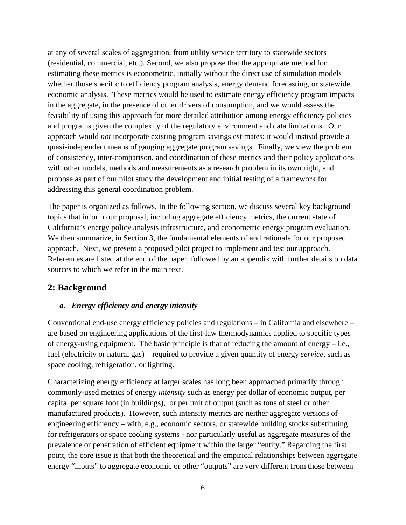at any of several scales of aggregation, from utility service territory to statewide sectors (residential, commercial, etc.). Second, we also propose that the appropriate method for estimating these metrics is econometric, initially without the direct use of simulation models whether those specific to efficiency program analysis, energy demand forecasting, or statewide economic analysis. These metrics would be used to estimate energy efficiency program impacts in the aggregate, in the presence of other drivers of consumption, and we would assess the feasibility of using this approach for more detailed attribution among energy efficiency policies and programs given the complexity of the regulatory environment and data limitations. Our approach would *not* incorporate existing program savings estimates; it would instead provide a quasi-independent means of gauging aggregate program savings. Finally, we view the problem of consistency, inter-comparison, and coordination of these metrics and their policy applications with other models, methods and measurements as a research problem in its own right, and propose as part of our pilot study the development and initial testing of a framework for addressing this general coordination problem.

The paper is organized as follows. In the following section, we discuss several key background topics that inform our proposal, including aggregate efficiency metrics, the current state of California's energy policy analysis infrastructure, and econometric energy program evaluation. We then summarize, in Section 3, the fundamental elements of and rationale for our proposed approach. Next, we present a proposed pilot project to implement and test our approach. References are listed at the end of the paper, followed by an appendix with further details on data sources to which we refer in the main text.

# **2: Background**

### *a. Energy efficiency and energy intensity*

Conventional end-use energy efficiency policies and regulations – in California and elsewhere – are based on engineering applications of the first-law thermodynamics applied to specific types of energy-using equipment. The basic principle is that of reducing the amount of energy  $-$  i.e., fuel (electricity or natural gas) – required to provide a given quantity of energy *service*, such as space cooling, refrigeration, or lighting.

Characterizing energy efficiency at larger scales has long been approached primarily through commonly-used metrics of energy *intensity* such as energy per dollar of economic output, per capita, per square foot (in buildings), or per unit of output (such as tons of steel or other manufactured products). However, such intensity metrics are neither aggregate versions of engineering efficiency – with, e.g., economic sectors, or statewide building stocks substituting for refrigerators or space cooling systems - nor particularly useful as aggregate measures of the prevalence or penetration of efficient equipment within the larger "entity." Regarding the first point, the core issue is that both the theoretical and the empirical relationships between aggregate energy "inputs" to aggregate economic or other "outputs" are very different from those between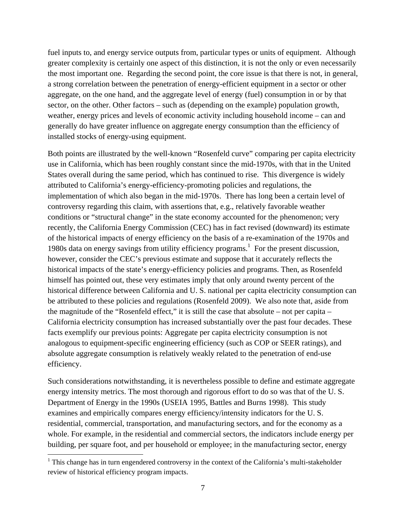fuel inputs to, and energy service outputs from, particular types or units of equipment. Although greater complexity is certainly one aspect of this distinction, it is not the only or even necessarily the most important one. Regarding the second point, the core issue is that there is not, in general, a strong correlation between the penetration of energy-efficient equipment in a sector or other aggregate, on the one hand, and the aggregate level of energy (fuel) consumption in or by that sector, on the other. Other factors – such as (depending on the example) population growth, weather, energy prices and levels of economic activity including household income – can and generally do have greater influence on aggregate energy consumption than the efficiency of installed stocks of energy-using equipment.

Both points are illustrated by the well-known "Rosenfeld curve" comparing per capita electricity use in California, which has been roughly constant since the mid-1970s, with that in the United States overall during the same period, which has continued to rise. This divergence is widely attributed to California's energy-efficiency-promoting policies and regulations, the implementation of which also began in the mid-1970s. There has long been a certain level of controversy regarding this claim, with assertions that, e.g., relatively favorable weather conditions or "structural change" in the state economy accounted for the phenomenon; very recently, the California Energy Commission (CEC) has in fact revised (downward) its estimate of the historical impacts of energy efficiency on the basis of a re-examination of the 1970s and 1980s data on energy savings from utility efficiency programs.<sup>1</sup> For the present discussion, however, consider the CEC's previous estimate and suppose that it accurately reflects the historical impacts of the state's energy-efficiency policies and programs. Then, as Rosenfeld himself has pointed out, these very estimates imply that only around twenty percent of the historical difference between California and U. S. national per capita electricity consumption can be attributed to these policies and regulations (Rosenfeld 2009). We also note that, aside from the magnitude of the "Rosenfeld effect," it is still the case that absolute – not per capita – California electricity consumption has increased substantially over the past four decades. These facts exemplify our previous points: Aggregate per capita electricity consumption is not analogous to equipment-specific engineering efficiency (such as COP or SEER ratings), and absolute aggregate consumption is relatively weakly related to the penetration of end-use efficiency.

Such considerations notwithstanding, it is nevertheless possible to define and estimate aggregate energy intensity metrics. The most thorough and rigorous effort to do so was that of the U. S. Department of Energy in the 1990s (USEIA 1995, Battles and Burns 1998). This study examines and empirically compares energy efficiency/intensity indicators for the U. S. residential, commercial, transportation, and manufacturing sectors, and for the economy as a whole. For example, in the residential and commercial sectors, the indicators include energy per building, per square foot, and per household or employee; in the manufacturing sector, energy

<sup>&</sup>lt;sup>1</sup> This change has in turn engendered controversy in the context of the California's multi-stakeholder review of historical efficiency program impacts.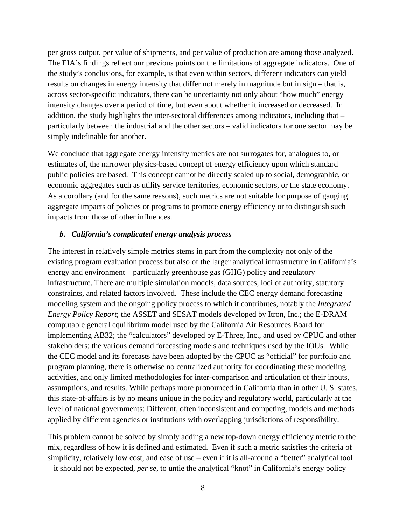per gross output, per value of shipments, and per value of production are among those analyzed. The EIA's findings reflect our previous points on the limitations of aggregate indicators. One of the study's conclusions, for example, is that even within sectors, different indicators can yield results on changes in energy intensity that differ not merely in magnitude but in sign – that is, across sector-specific indicators, there can be uncertainty not only about "how much" energy intensity changes over a period of time, but even about whether it increased or decreased. In addition, the study highlights the inter-sectoral differences among indicators, including that – particularly between the industrial and the other sectors – valid indicators for one sector may be simply indefinable for another.

We conclude that aggregate energy intensity metrics are not surrogates for, analogues to, or estimates of, the narrower physics-based concept of energy efficiency upon which standard public policies are based. This concept cannot be directly scaled up to social, demographic, or economic aggregates such as utility service territories, economic sectors, or the state economy. As a corollary (and for the same reasons), such metrics are not suitable for purpose of gauging aggregate impacts of policies or programs to promote energy efficiency or to distinguish such impacts from those of other influences.

#### *b. California's complicated energy analysis process*

The interest in relatively simple metrics stems in part from the complexity not only of the existing program evaluation process but also of the larger analytical infrastructure in California's energy and environment – particularly greenhouse gas (GHG) policy and regulatory infrastructure. There are multiple simulation models, data sources, loci of authority, statutory constraints, and related factors involved. These include the CEC energy demand forecasting modeling system and the ongoing policy process to which it contributes, notably the *Integrated Energy Policy Report*; the ASSET and SESAT models developed by Itron, Inc.; the E-DRAM computable general equilibrium model used by the California Air Resources Board for implementing AB32; the "calculators" developed by E-Three, Inc., and used by CPUC and other stakeholders; the various demand forecasting models and techniques used by the IOUs. While the CEC model and its forecasts have been adopted by the CPUC as "official" for portfolio and program planning, there is otherwise no centralized authority for coordinating these modeling activities, and only limited methodologies for inter-comparison and articulation of their inputs, assumptions, and results. While perhaps more pronounced in California than in other U. S. states, this state-of-affairs is by no means unique in the policy and regulatory world, particularly at the level of national governments: Different, often inconsistent and competing, models and methods applied by different agencies or institutions with overlapping jurisdictions of responsibility.

This problem cannot be solved by simply adding a new top-down energy efficiency metric to the mix, regardless of how it is defined and estimated. Even if such a metric satisfies the criteria of simplicity, relatively low cost, and ease of use – even if it is all-around a "better" analytical tool – it should not be expected, *per se*, to untie the analytical "knot" in California's energy policy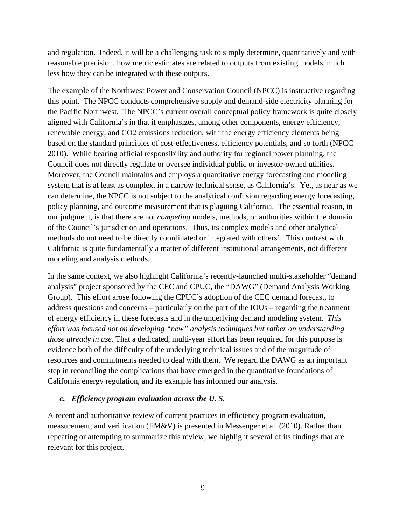and regulation. Indeed, it will be a challenging task to simply determine, quantitatively and with reasonable precision, how metric estimates are related to outputs from existing models, much less how they can be integrated with these outputs.

The example of the Northwest Power and Conservation Council (NPCC) is instructive regarding this point. The NPCC conducts comprehensive supply and demand-side electricity planning for the Pacific Northwest. The NPCC's current overall conceptual policy framework is quite closely aligned with California's in that it emphasizes, among other components, energy efficiency, renewable energy, and CO2 emissions reduction, with the energy efficiency elements being based on the standard principles of cost-effectiveness, efficiency potentials, and so forth (NPCC 2010). While bearing official responsibility and authority for regional power planning, the Council does not directly regulate or oversee individual public or investor-owned utilities. Moreover, the Council maintains and employs a quantitative energy forecasting and modeling system that is at least as complex, in a narrow technical sense, as California's. Yet, as near as we can determine, the NPCC is not subject to the analytical confusion regarding energy forecasting, policy planning, and outcome measurement that is plaguing California. The essential reason, in our judgment, is that there are not *competing* models, methods, or authorities within the domain of the Council's jurisdiction and operations. Thus, its complex models and other analytical methods do not need to be directly coordinated or integrated with others'. This contrast with California is quite fundamentally a matter of different institutional arrangements, not different modeling and analysis methods.

In the same context, we also highlight California's recently-launched multi-stakeholder "demand analysis" project sponsored by the CEC and CPUC, the "DAWG" (Demand Analysis Working Group). This effort arose following the CPUC's adoption of the CEC demand forecast, to address questions and concerns – particularly on the part of the IOUs – regarding the treatment of energy efficiency in these forecasts and in the underlying demand modeling system. *This effort was focused not on developing "new" analysis techniques but rather on understanding those already in use.* That a dedicated, multi-year effort has been required for this purpose is evidence both of the difficulty of the underlying technical issues and of the magnitude of resources and commitments needed to deal with them. We regard the DAWG as an important step in reconciling the complications that have emerged in the quantitative foundations of California energy regulation, and its example has informed our analysis.

### *c. Efficiency program evaluation across the U. S.*

A recent and authoritative review of current practices in efficiency program evaluation, measurement, and verification (EM&V) is presented in Messenger et al. (2010). Rather than repeating or attempting to summarize this review, we highlight several of its findings that are relevant for this project.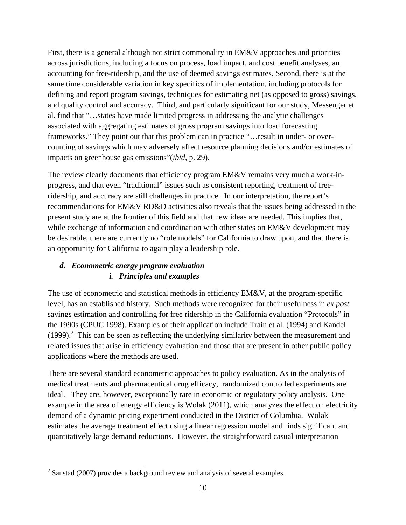First, there is a general although not strict commonality in EM&V approaches and priorities across jurisdictions, including a focus on process, load impact, and cost benefit analyses, an accounting for free-ridership, and the use of deemed savings estimates. Second, there is at the same time considerable variation in key specifics of implementation, including protocols for defining and report program savings, techniques for estimating net (as opposed to gross) savings, and quality control and accuracy. Third, and particularly significant for our study, Messenger et al. find that "…states have made limited progress in addressing the analytic challenges associated with aggregating estimates of gross program savings into load forecasting frameworks." They point out that this problem can in practice "…result in under- or overcounting of savings which may adversely affect resource planning decisions and/or estimates of impacts on greenhouse gas emissions"(*ibid*, p. 29).

The review clearly documents that efficiency program EM&V remains very much a work-inprogress, and that even "traditional" issues such as consistent reporting, treatment of freeridership, and accuracy are still challenges in practice. In our interpretation, the report's recommendations for EM&V RD&D activities also reveals that the issues being addressed in the present study are at the frontier of this field and that new ideas are needed. This implies that, while exchange of information and coordination with other states on EM&V development may be desirable, there are currently no "role models" for California to draw upon, and that there is an opportunity for California to again play a leadership role.

### *d. Econometric energy program evaluation i. Principles and examples*

The use of econometric and statistical methods in efficiency EM&V, at the program-specific level, has an established history. Such methods were recognized for their usefulness in *ex post* savings estimation and controlling for free ridership in the California evaluation "Protocols" in the 1990s (CPUC 1998). Examples of their application include Train et al. (1994) and Kandel  $(1999)$ .<sup>2</sup> This can be seen as reflecting the underlying similarity between the measurement and related issues that arise in efficiency evaluation and those that are present in other public policy applications where the methods are used.

There are several standard econometric approaches to policy evaluation. As in the analysis of medical treatments and pharmaceutical drug efficacy, randomized controlled experiments are ideal. They are, however, exceptionally rare in economic or regulatory policy analysis. One example in the area of energy efficiency is Wolak (2011), which analyzes the effect on electricity demand of a dynamic pricing experiment conducted in the District of Columbia. Wolak estimates the average treatment effect using a linear regression model and finds significant and quantitatively large demand reductions. However, the straightforward casual interpretation

<sup>&</sup>lt;sup>2</sup> Sanstad (2007) provides a background review and analysis of several examples.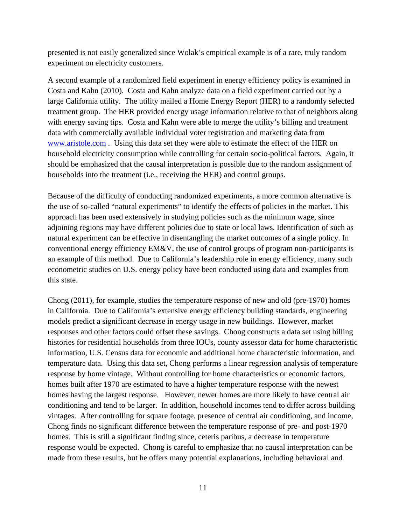presented is not easily generalized since Wolak's empirical example is of a rare, truly random experiment on electricity customers.

A second example of a randomized field experiment in energy efficiency policy is examined in Costa and Kahn (2010). Costa and Kahn analyze data on a field experiment carried out by a large California utility. The utility mailed a Home Energy Report (HER) to a randomly selected treatment group. The HER provided energy usage information relative to that of neighbors along with energy saving tips. Costa and Kahn were able to merge the utility's billing and treatment data with commercially available individual voter registration and marketing data from www.aristole.com . Using this data set they were able to estimate the effect of the HER on household electricity consumption while controlling for certain socio-political factors. Again, it should be emphasized that the causal interpretation is possible due to the random assignment of households into the treatment (i.e., receiving the HER) and control groups.

Because of the difficulty of conducting randomized experiments, a more common alternative is the use of so-called "natural experiments" to identify the effects of policies in the market. This approach has been used extensively in studying policies such as the minimum wage, since adjoining regions may have different policies due to state or local laws. Identification of such as natural experiment can be effective in disentangling the market outcomes of a single policy. In conventional energy efficiency EM&V, the use of control groups of program non-participants is an example of this method. Due to California's leadership role in energy efficiency, many such econometric studies on U.S. energy policy have been conducted using data and examples from this state.

Chong (2011), for example, studies the temperature response of new and old (pre-1970) homes in California. Due to California's extensive energy efficiency building standards, engineering models predict a significant decrease in energy usage in new buildings. However, market responses and other factors could offset these savings. Chong constructs a data set using billing histories for residential households from three IOUs, county assessor data for home characteristic information, U.S. Census data for economic and additional home characteristic information, and temperature data. Using this data set, Chong performs a linear regression analysis of temperature response by home vintage. Without controlling for home characteristics or economic factors, homes built after 1970 are estimated to have a higher temperature response with the newest homes having the largest response. However, newer homes are more likely to have central air conditioning and tend to be larger. In addition, household incomes tend to differ across building vintages. After controlling for square footage, presence of central air conditioning, and income, Chong finds no significant difference between the temperature response of pre- and post-1970 homes. This is still a significant finding since, ceteris paribus, a decrease in temperature response would be expected. Chong is careful to emphasize that no causal interpretation can be made from these results, but he offers many potential explanations, including behavioral and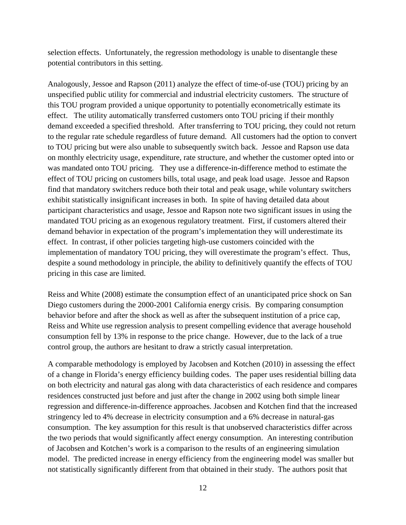selection effects. Unfortunately, the regression methodology is unable to disentangle these potential contributors in this setting.

Analogously, Jessoe and Rapson (2011) analyze the effect of time-of-use (TOU) pricing by an unspecified public utility for commercial and industrial electricity customers. The structure of this TOU program provided a unique opportunity to potentially econometrically estimate its effect. The utility automatically transferred customers onto TOU pricing if their monthly demand exceeded a specified threshold. After transferring to TOU pricing, they could not return to the regular rate schedule regardless of future demand. All customers had the option to convert to TOU pricing but were also unable to subsequently switch back. Jessoe and Rapson use data on monthly electricity usage, expenditure, rate structure, and whether the customer opted into or was mandated onto TOU pricing. They use a difference-in-difference method to estimate the effect of TOU pricing on customers bills, total usage, and peak load usage. Jessoe and Rapson find that mandatory switchers reduce both their total and peak usage, while voluntary switchers exhibit statistically insignificant increases in both. In spite of having detailed data about participant characteristics and usage, Jessoe and Rapson note two significant issues in using the mandated TOU pricing as an exogenous regulatory treatment. First, if customers altered their demand behavior in expectation of the program's implementation they will underestimate its effect. In contrast, if other policies targeting high-use customers coincided with the implementation of mandatory TOU pricing, they will overestimate the program's effect. Thus, despite a sound methodology in principle, the ability to definitively quantify the effects of TOU pricing in this case are limited.

Reiss and White (2008) estimate the consumption effect of an unanticipated price shock on San Diego customers during the 2000-2001 California energy crisis. By comparing consumption behavior before and after the shock as well as after the subsequent institution of a price cap, Reiss and White use regression analysis to present compelling evidence that average household consumption fell by 13% in response to the price change. However, due to the lack of a true control group, the authors are hesitant to draw a strictly casual interpretation.

A comparable methodology is employed by Jacobsen and Kotchen (2010) in assessing the effect of a change in Florida's energy efficiency building codes. The paper uses residential billing data on both electricity and natural gas along with data characteristics of each residence and compares residences constructed just before and just after the change in 2002 using both simple linear regression and difference-in-difference approaches. Jacobsen and Kotchen find that the increased stringency led to 4% decrease in electricity consumption and a 6% decrease in natural-gas consumption. The key assumption for this result is that unobserved characteristics differ across the two periods that would significantly affect energy consumption. An interesting contribution of Jacobsen and Kotchen's work is a comparison to the results of an engineering simulation model. The predicted increase in energy efficiency from the engineering model was smaller but not statistically significantly different from that obtained in their study. The authors posit that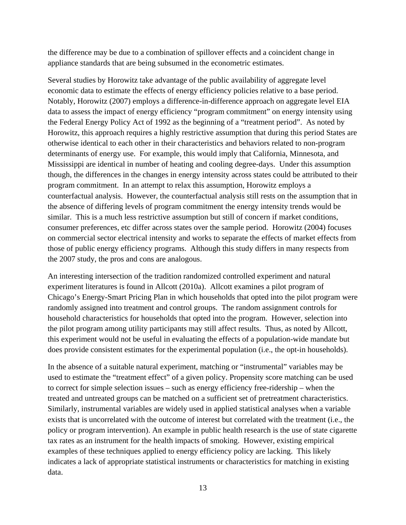the difference may be due to a combination of spillover effects and a coincident change in appliance standards that are being subsumed in the econometric estimates.

Several studies by Horowitz take advantage of the public availability of aggregate level economic data to estimate the effects of energy efficiency policies relative to a base period. Notably, Horowitz (2007) employs a difference-in-difference approach on aggregate level EIA data to assess the impact of energy efficiency "program commitment" on energy intensity using the Federal Energy Policy Act of 1992 as the beginning of a "treatment period". As noted by Horowitz, this approach requires a highly restrictive assumption that during this period States are otherwise identical to each other in their characteristics and behaviors related to non-program determinants of energy use. For example, this would imply that California, Minnesota, and Mississippi are identical in number of heating and cooling degree-days. Under this assumption though, the differences in the changes in energy intensity across states could be attributed to their program commitment. In an attempt to relax this assumption, Horowitz employs a counterfactual analysis. However, the counterfactual analysis still rests on the assumption that in the absence of differing levels of program commitment the energy intensity trends would be similar. This is a much less restrictive assumption but still of concern if market conditions, consumer preferences, etc differ across states over the sample period. Horowitz (2004) focuses on commercial sector electrical intensity and works to separate the effects of market effects from those of public energy efficiency programs. Although this study differs in many respects from the 2007 study, the pros and cons are analogous.

An interesting intersection of the tradition randomized controlled experiment and natural experiment literatures is found in Allcott (2010a). Allcott examines a pilot program of Chicago's Energy-Smart Pricing Plan in which households that opted into the pilot program were randomly assigned into treatment and control groups. The random assignment controls for household characteristics for households that opted into the program. However, selection into the pilot program among utility participants may still affect results. Thus, as noted by Allcott, this experiment would not be useful in evaluating the effects of a population-wide mandate but does provide consistent estimates for the experimental population (i.e., the opt-in households).

In the absence of a suitable natural experiment, matching or "instrumental" variables may be used to estimate the "treatment effect" of a given policy. Propensity score matching can be used to correct for simple selection issues – such as energy efficiency free-ridership – when the treated and untreated groups can be matched on a sufficient set of pretreatment characteristics. Similarly, instrumental variables are widely used in applied statistical analyses when a variable exists that is uncorrelated with the outcome of interest but correlated with the treatment (i.e., the policy or program intervention). An example in public health research is the use of state cigarette tax rates as an instrument for the health impacts of smoking. However, existing empirical examples of these techniques applied to energy efficiency policy are lacking. This likely indicates a lack of appropriate statistical instruments or characteristics for matching in existing data.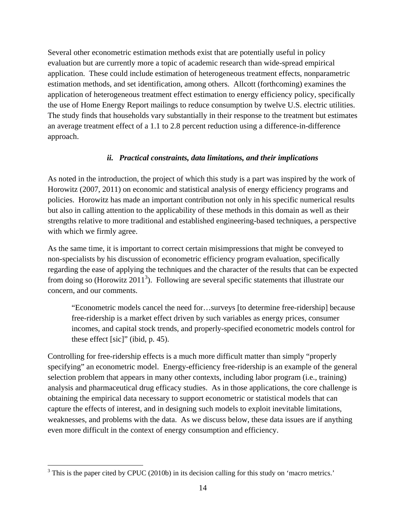Several other econometric estimation methods exist that are potentially useful in policy evaluation but are currently more a topic of academic research than wide-spread empirical application. These could include estimation of heterogeneous treatment effects, nonparametric estimation methods, and set identification, among others. Allcott (forthcoming) examines the application of heterogeneous treatment effect estimation to energy efficiency policy, specifically the use of Home Energy Report mailings to reduce consumption by twelve U.S. electric utilities. The study finds that households vary substantially in their response to the treatment but estimates an average treatment effect of a 1.1 to 2.8 percent reduction using a difference-in-difference approach.

#### *ii. Practical constraints, data limitations, and their implications*

As noted in the introduction, the project of which this study is a part was inspired by the work of Horowitz (2007, 2011) on economic and statistical analysis of energy efficiency programs and policies. Horowitz has made an important contribution not only in his specific numerical results but also in calling attention to the applicability of these methods in this domain as well as their strengths relative to more traditional and established engineering-based techniques, a perspective with which we firmly agree.

As the same time, it is important to correct certain misimpressions that might be conveyed to non-specialists by his discussion of econometric efficiency program evaluation, specifically regarding the ease of applying the techniques and the character of the results that can be expected from doing so (Horowitz 2011<sup>3</sup>). Following are several specific statements that illustrate our concern, and our comments.

"Econometric models cancel the need for…surveys [to determine free-ridership] because free-ridership is a market effect driven by such variables as energy prices, consumer incomes, and capital stock trends, and properly-specified econometric models control for these effect [sic]" (ibid, p. 45).

Controlling for free-ridership effects is a much more difficult matter than simply "properly specifying" an econometric model. Energy-efficiency free-ridership is an example of the general selection problem that appears in many other contexts, including labor program (i.e., training) analysis and pharmaceutical drug efficacy studies. As in those applications, the core challenge is obtaining the empirical data necessary to support econometric or statistical models that can capture the effects of interest, and in designing such models to exploit inevitable limitations, weaknesses, and problems with the data. As we discuss below, these data issues are if anything even more difficult in the context of energy consumption and efficiency.

<sup>&</sup>lt;sup>3</sup> This is the paper cited by CPUC (2010b) in its decision calling for this study on 'macro metrics.'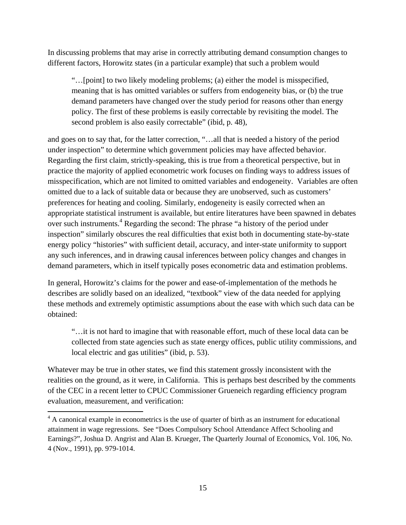In discussing problems that may arise in correctly attributing demand consumption changes to different factors, Horowitz states (in a particular example) that such a problem would

"…[point] to two likely modeling problems; (a) either the model is misspecified, meaning that is has omitted variables or suffers from endogeneity bias, or (b) the true demand parameters have changed over the study period for reasons other than energy policy. The first of these problems is easily correctable by revisiting the model. The second problem is also easily correctable" (ibid, p. 48),

and goes on to say that, for the latter correction, "…all that is needed a history of the period under inspection" to determine which government policies may have affected behavior. Regarding the first claim, strictly-speaking, this is true from a theoretical perspective, but in practice the majority of applied econometric work focuses on finding ways to address issues of misspecification, which are not limited to omitted variables and endogeneity. Variables are often omitted due to a lack of suitable data or because they are unobserved, such as customers' preferences for heating and cooling. Similarly, endogeneity is easily corrected when an appropriate statistical instrument is available, but entire literatures have been spawned in debates over such instruments.<sup>4</sup> Regarding the second: The phrase "a history of the period under inspection" similarly obscures the real difficulties that exist both in documenting state-by-state energy policy "histories" with sufficient detail, accuracy, and inter-state uniformity to support any such inferences, and in drawing causal inferences between policy changes and changes in demand parameters, which in itself typically poses econometric data and estimation problems.

In general, Horowitz's claims for the power and ease-of-implementation of the methods he describes are solidly based on an idealized, "textbook" view of the data needed for applying these methods and extremely optimistic assumptions about the ease with which such data can be obtained:

"…it is not hard to imagine that with reasonable effort, much of these local data can be collected from state agencies such as state energy offices, public utility commissions, and local electric and gas utilities" (ibid, p. 53).

Whatever may be true in other states, we find this statement grossly inconsistent with the realities on the ground, as it were, in California. This is perhaps best described by the comments of the CEC in a recent letter to CPUC Commissioner Grueneich regarding efficiency program evaluation, measurement, and verification:

<sup>&</sup>lt;sup>4</sup> A canonical example in econometrics is the use of quarter of birth as an instrument for educational attainment in wage regressions. See "Does Compulsory School Attendance Affect Schooling and Earnings?", Joshua D. Angrist and Alan B. Krueger, The Quarterly Journal of Economics, Vol. 106, No. 4 (Nov., 1991), pp. 979-1014.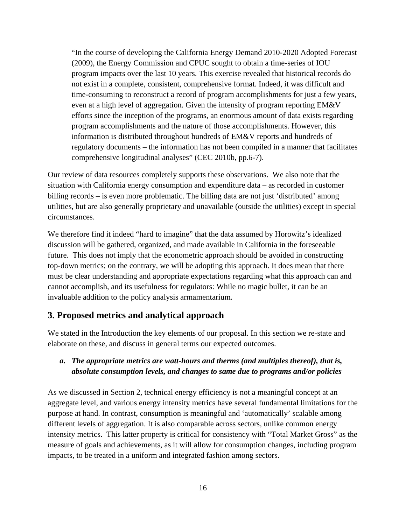"In the course of developing the California Energy Demand 2010-2020 Adopted Forecast (2009), the Energy Commission and CPUC sought to obtain a time-series of IOU program impacts over the last 10 years. This exercise revealed that historical records do not exist in a complete, consistent, comprehensive format. Indeed, it was difficult and time-consuming to reconstruct a record of program accomplishments for just a few years, even at a high level of aggregation. Given the intensity of program reporting EM&V efforts since the inception of the programs, an enormous amount of data exists regarding program accomplishments and the nature of those accomplishments. However, this information is distributed throughout hundreds of EM&V reports and hundreds of regulatory documents – the information has not been compiled in a manner that facilitates comprehensive longitudinal analyses" (CEC 2010b, pp.6-7).

Our review of data resources completely supports these observations. We also note that the situation with California energy consumption and expenditure data – as recorded in customer billing records – is even more problematic. The billing data are not just 'distributed' among utilities, but are also generally proprietary and unavailable (outside the utilities) except in special circumstances.

We therefore find it indeed "hard to imagine" that the data assumed by Horowitz's idealized discussion will be gathered, organized, and made available in California in the foreseeable future. This does not imply that the econometric approach should be avoided in constructing top-down metrics; on the contrary, we will be adopting this approach. It does mean that there must be clear understanding and appropriate expectations regarding what this approach can and cannot accomplish, and its usefulness for regulators: While no magic bullet, it can be an invaluable addition to the policy analysis armamentarium.

# **3. Proposed metrics and analytical approach**

We stated in the Introduction the key elements of our proposal. In this section we re-state and elaborate on these, and discuss in general terms our expected outcomes.

### *a. The appropriate metrics are watt-hours and therms (and multiples thereof), that is, absolute consumption levels, and changes to same due to programs and/or policies*

As we discussed in Section 2, technical energy efficiency is not a meaningful concept at an aggregate level, and various energy intensity metrics have several fundamental limitations for the purpose at hand. In contrast, consumption is meaningful and 'automatically' scalable among different levels of aggregation. It is also comparable across sectors, unlike common energy intensity metrics. This latter property is critical for consistency with "Total Market Gross" as the measure of goals and achievements, as it will allow for consumption changes, including program impacts, to be treated in a uniform and integrated fashion among sectors.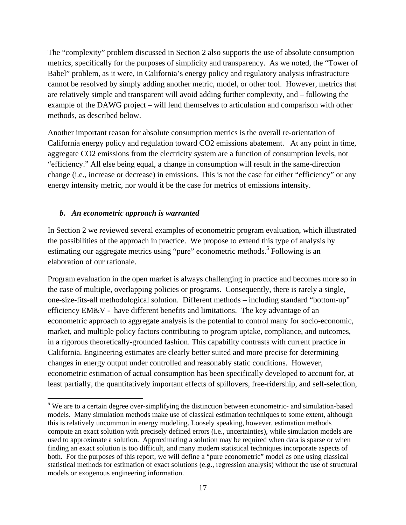The "complexity" problem discussed in Section 2 also supports the use of absolute consumption metrics, specifically for the purposes of simplicity and transparency. As we noted, the "Tower of Babel" problem, as it were, in California's energy policy and regulatory analysis infrastructure cannot be resolved by simply adding another metric, model, or other tool. However, metrics that are relatively simple and transparent will avoid adding further complexity, and – following the example of the DAWG project – will lend themselves to articulation and comparison with other methods, as described below.

Another important reason for absolute consumption metrics is the overall re-orientation of California energy policy and regulation toward CO2 emissions abatement. At any point in time, aggregate CO2 emissions from the electricity system are a function of consumption levels, not "efficiency." All else being equal, a change in consumption will result in the same-direction change (i.e., increase or decrease) in emissions. This is not the case for either "efficiency" or any energy intensity metric, nor would it be the case for metrics of emissions intensity.

### *b. An econometric approach is warranted*

In Section 2 we reviewed several examples of econometric program evaluation, which illustrated the possibilities of the approach in practice. We propose to extend this type of analysis by estimating our aggregate metrics using "pure" econometric methods.<sup>5</sup> Following is an elaboration of our rationale.

Program evaluation in the open market is always challenging in practice and becomes more so in the case of multiple, overlapping policies or programs. Consequently, there is rarely a single, one-size-fits-all methodological solution. Different methods – including standard "bottom-up" efficiency EM&V - have different benefits and limitations. The key advantage of an econometric approach to aggregate analysis is the potential to control many for socio-economic, market, and multiple policy factors contributing to program uptake, compliance, and outcomes, in a rigorous theoretically-grounded fashion. This capability contrasts with current practice in California. Engineering estimates are clearly better suited and more precise for determining changes in energy output under controlled and reasonably static conditions. However, econometric estimation of actual consumption has been specifically developed to account for, at least partially, the quantitatively important effects of spillovers, free-ridership, and self-selection,

 $5$  We are to a certain degree over-simplifying the distinction between econometric- and simulation-based models. Many simulation methods make use of classical estimation techniques to some extent, although this is relatively uncommon in energy modeling. Loosely speaking, however, estimation methods compute an exact solution with precisely defined errors (i.e., uncertainties), while simulation models are used to approximate a solution. Approximating a solution may be required when data is sparse or when finding an exact solution is too difficult, and many modern statistical techniques incorporate aspects of both. For the purposes of this report, we will define a "pure econometric" model as one using classical statistical methods for estimation of exact solutions (e.g., regression analysis) without the use of structural models or exogenous engineering information.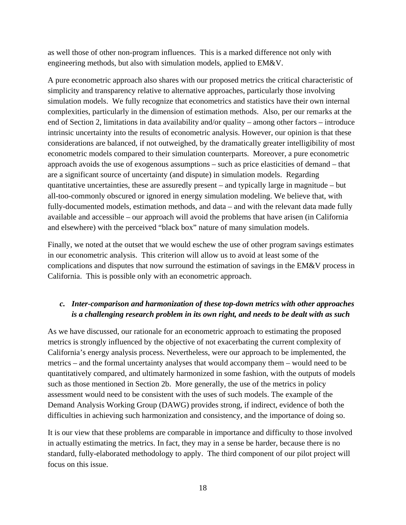as well those of other non-program influences. This is a marked difference not only with engineering methods, but also with simulation models, applied to EM&V.

A pure econometric approach also shares with our proposed metrics the critical characteristic of simplicity and transparency relative to alternative approaches, particularly those involving simulation models. We fully recognize that econometrics and statistics have their own internal complexities, particularly in the dimension of estimation methods. Also, per our remarks at the end of Section 2, limitations in data availability and/or quality – among other factors – introduce intrinsic uncertainty into the results of econometric analysis. However, our opinion is that these considerations are balanced, if not outweighed, by the dramatically greater intelligibility of most econometric models compared to their simulation counterparts. Moreover, a pure econometric approach avoids the use of exogenous assumptions – such as price elasticities of demand – that are a significant source of uncertainty (and dispute) in simulation models. Regarding quantitative uncertainties, these are assuredly present – and typically large in magnitude – but all-too-commonly obscured or ignored in energy simulation modeling. We believe that, with fully-documented models, estimation methods, and data – and with the relevant data made fully available and accessible – our approach will avoid the problems that have arisen (in California and elsewhere) with the perceived "black box" nature of many simulation models.

Finally, we noted at the outset that we would eschew the use of other program savings estimates in our econometric analysis. This criterion will allow us to avoid at least some of the complications and disputes that now surround the estimation of savings in the EM&V process in California. This is possible only with an econometric approach.

## *c. Inter-comparison and harmonization of these top-down metrics with other approaches is a challenging research problem in its own right, and needs to be dealt with as such*

As we have discussed, our rationale for an econometric approach to estimating the proposed metrics is strongly influenced by the objective of not exacerbating the current complexity of California's energy analysis process. Nevertheless, were our approach to be implemented, the metrics – and the formal uncertainty analyses that would accompany them – would need to be quantitatively compared, and ultimately harmonized in some fashion, with the outputs of models such as those mentioned in Section 2b. More generally, the use of the metrics in policy assessment would need to be consistent with the uses of such models. The example of the Demand Analysis Working Group (DAWG) provides strong, if indirect, evidence of both the difficulties in achieving such harmonization and consistency, and the importance of doing so.

It is our view that these problems are comparable in importance and difficulty to those involved in actually estimating the metrics. In fact, they may in a sense be harder, because there is no standard, fully-elaborated methodology to apply. The third component of our pilot project will focus on this issue.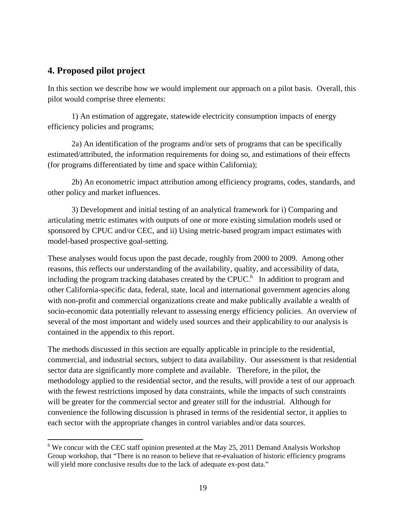# **4. Proposed pilot project**

In this section we describe how we would implement our approach on a pilot basis. Overall, this pilot would comprise three elements:

1) An estimation of aggregate, statewide electricity consumption impacts of energy efficiency policies and programs;

2a) An identification of the programs and/or sets of programs that can be specifically estimated/attributed, the information requirements for doing so, and estimations of their effects (for programs differentiated by time and space within California);

2b) An econometric impact attribution among efficiency programs, codes, standards, and other policy and market influences.

3) Development and initial testing of an analytical framework for i) Comparing and articulating metric estimates with outputs of one or more existing simulation models used or sponsored by CPUC and/or CEC, and ii) Using metric-based program impact estimates with model-based prospective goal-setting.

These analyses would focus upon the past decade, roughly from 2000 to 2009. Among other reasons, this reflects our understanding of the availability, quality, and accessibility of data, including the program tracking databases created by the CPUC.<sup>6</sup> In addition to program and other California-specific data, federal, state, local and international government agencies along with non-profit and commercial organizations create and make publically available a wealth of socio-economic data potentially relevant to assessing energy efficiency policies. An overview of several of the most important and widely used sources and their applicability to our analysis is contained in the appendix to this report.

The methods discussed in this section are equally applicable in principle to the residential, commercial, and industrial sectors, subject to data availability. Our assessment is that residential sector data are significantly more complete and available. Therefore, in the pilot, the methodology applied to the residential sector, and the results, will provide a test of our approach with the fewest restrictions imposed by data constraints, while the impacts of such constraints will be greater for the commercial sector and greater still for the industrial. Although for convenience the following discussion is phrased in terms of the residential sector, it applies to each sector with the appropriate changes in control variables and/or data sources.

 $6$  We concur with the CEC staff opinion presented at the May 25, 2011 Demand Analysis Workshop Group workshop, that "There is no reason to believe that re-evaluation of historic efficiency programs will yield more conclusive results due to the lack of adequate ex-post data."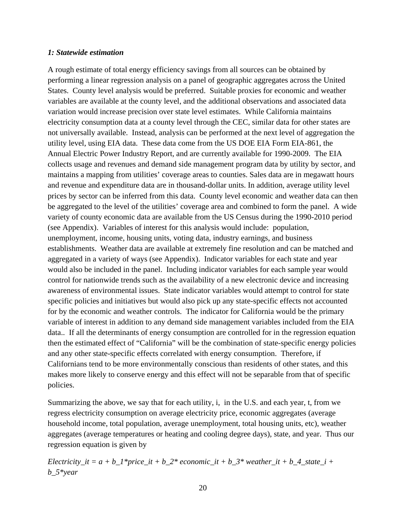#### *1: Statewide estimation*

A rough estimate of total energy efficiency savings from all sources can be obtained by performing a linear regression analysis on a panel of geographic aggregates across the United States. County level analysis would be preferred. Suitable proxies for economic and weather variables are available at the county level, and the additional observations and associated data variation would increase precision over state level estimates. While California maintains electricity consumption data at a county level through the CEC, similar data for other states are not universally available. Instead, analysis can be performed at the next level of aggregation the utility level, using EIA data. These data come from the US DOE EIA Form EIA-861, the Annual Electric Power Industry Report, and are currently available for 1990-2009. The EIA collects usage and revenues and demand side management program data by utility by sector, and maintains a mapping from utilities' coverage areas to counties. Sales data are in megawatt hours and revenue and expenditure data are in thousand-dollar units. In addition, average utility level prices by sector can be inferred from this data. County level economic and weather data can then be aggregated to the level of the utilities' coverage area and combined to form the panel. A wide variety of county economic data are available from the US Census during the 1990-2010 period (see Appendix). Variables of interest for this analysis would include: population, unemployment, income, housing units, voting data, industry earnings, and business establishments. Weather data are available at extremely fine resolution and can be matched and aggregated in a variety of ways (see Appendix). Indicator variables for each state and year would also be included in the panel. Including indicator variables for each sample year would control for nationwide trends such as the availability of a new electronic device and increasing awareness of environmental issues. State indicator variables would attempt to control for state specific policies and initiatives but would also pick up any state-specific effects not accounted for by the economic and weather controls. The indicator for California would be the primary variable of interest in addition to any demand side management variables included from the EIA data.. If all the determinants of energy consumption are controlled for in the regression equation then the estimated effect of "California" will be the combination of state-specific energy policies and any other state-specific effects correlated with energy consumption. Therefore, if Californians tend to be more environmentally conscious than residents of other states, and this makes more likely to conserve energy and this effect will not be separable from that of specific policies.

Summarizing the above, we say that for each utility, i, in the U.S. and each year, t, from we regress electricity consumption on average electricity price, economic aggregates (average household income, total population, average unemployment, total housing units, etc), weather aggregates (average temperatures or heating and cooling degree days), state, and year. Thus our regression equation is given by

*Electricity\_it = a + b\_1\*price\_it + b\_2\* economic\_it + b\_3\* weather\_it + b\_4\_state\_i + b\_5\*year*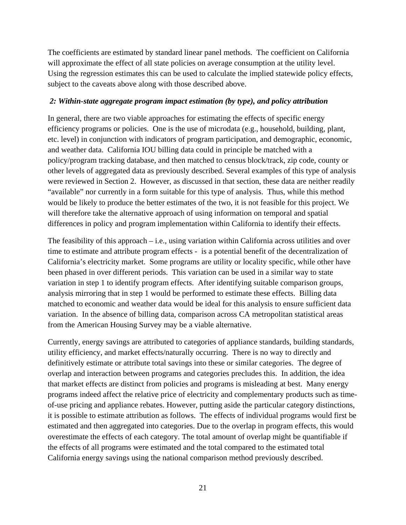The coefficients are estimated by standard linear panel methods. The coefficient on California will approximate the effect of all state policies on average consumption at the utility level. Using the regression estimates this can be used to calculate the implied statewide policy effects, subject to the caveats above along with those described above.

### *2: Within-state aggregate program impact estimation (by type), and policy attribution*

In general, there are two viable approaches for estimating the effects of specific energy efficiency programs or policies. One is the use of microdata (e.g., household, building, plant, etc. level) in conjunction with indicators of program participation, and demographic, economic, and weather data. California IOU billing data could in principle be matched with a policy/program tracking database, and then matched to census block/track, zip code, county or other levels of aggregated data as previously described. Several examples of this type of analysis were reviewed in Section 2. However, as discussed in that section, these data are neither readily "available" nor currently in a form suitable for this type of analysis. Thus, while this method would be likely to produce the better estimates of the two, it is not feasible for this project. We will therefore take the alternative approach of using information on temporal and spatial differences in policy and program implementation within California to identify their effects.

The feasibility of this approach – i.e., using variation within California across utilities and over time to estimate and attribute program effects - is a potential benefit of the decentralization of California's electricity market. Some programs are utility or locality specific, while other have been phased in over different periods. This variation can be used in a similar way to state variation in step 1 to identify program effects. After identifying suitable comparison groups, analysis mirroring that in step 1 would be performed to estimate these effects. Billing data matched to economic and weather data would be ideal for this analysis to ensure sufficient data variation. In the absence of billing data, comparison across CA metropolitan statistical areas from the American Housing Survey may be a viable alternative.

Currently, energy savings are attributed to categories of appliance standards, building standards, utility efficiency, and market effects/naturally occurring. There is no way to directly and definitively estimate or attribute total savings into these or similar categories. The degree of overlap and interaction between programs and categories precludes this. In addition, the idea that market effects are distinct from policies and programs is misleading at best. Many energy programs indeed affect the relative price of electricity and complementary products such as timeof-use pricing and appliance rebates. However, putting aside the particular category distinctions, it is possible to estimate attribution as follows. The effects of individual programs would first be estimated and then aggregated into categories. Due to the overlap in program effects, this would overestimate the effects of each category. The total amount of overlap might be quantifiable if the effects of all programs were estimated and the total compared to the estimated total California energy savings using the national comparison method previously described.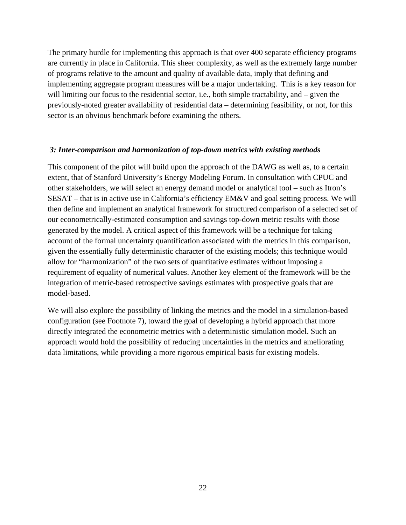The primary hurdle for implementing this approach is that over 400 separate efficiency programs are currently in place in California. This sheer complexity, as well as the extremely large number of programs relative to the amount and quality of available data, imply that defining and implementing aggregate program measures will be a major undertaking. This is a key reason for will limiting our focus to the residential sector, i.e., both simple tractability, and – given the previously-noted greater availability of residential data – determining feasibility, or not, for this sector is an obvious benchmark before examining the others.

### *3: Inter-comparison and harmonization of top-down metrics with existing methods*

This component of the pilot will build upon the approach of the DAWG as well as, to a certain extent, that of Stanford University's Energy Modeling Forum. In consultation with CPUC and other stakeholders, we will select an energy demand model or analytical tool – such as Itron's SESAT – that is in active use in California's efficiency EM&V and goal setting process. We will then define and implement an analytical framework for structured comparison of a selected set of our econometrically-estimated consumption and savings top-down metric results with those generated by the model. A critical aspect of this framework will be a technique for taking account of the formal uncertainty quantification associated with the metrics in this comparison, given the essentially fully deterministic character of the existing models; this technique would allow for "harmonization" of the two sets of quantitative estimates without imposing a requirement of equality of numerical values. Another key element of the framework will be the integration of metric-based retrospective savings estimates with prospective goals that are model-based.

We will also explore the possibility of linking the metrics and the model in a simulation-based configuration (see Footnote 7), toward the goal of developing a hybrid approach that more directly integrated the econometric metrics with a deterministic simulation model. Such an approach would hold the possibility of reducing uncertainties in the metrics and ameliorating data limitations, while providing a more rigorous empirical basis for existing models.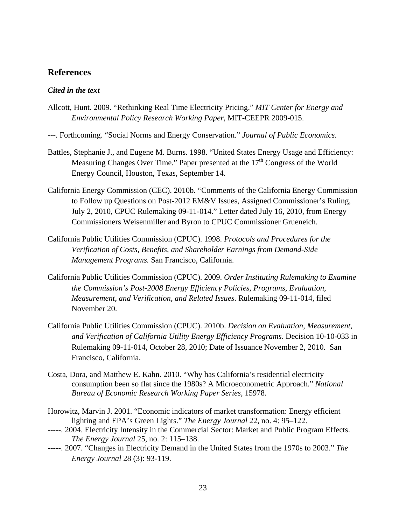### **References**

#### *Cited in the text*

- Allcott, Hunt. 2009. "Rethinking Real Time Electricity Pricing." *MIT Center for Energy and Environmental Policy Research Working Paper*, MIT-CEEPR 2009-015.
- ---. Forthcoming. "Social Norms and Energy Conservation." *Journal of Public Economics*.
- Battles, Stephanie J., and Eugene M. Burns. 1998. "United States Energy Usage and Efficiency: Measuring Changes Over Time." Paper presented at the  $17<sup>th</sup>$  Congress of the World Energy Council, Houston, Texas, September 14.
- California Energy Commission (CEC). 2010b. "Comments of the California Energy Commission to Follow up Questions on Post-2012 EM&V Issues, Assigned Commissioner's Ruling, July 2, 2010, CPUC Rulemaking 09-11-014." Letter dated July 16, 2010, from Energy Commissioners Weisenmiller and Byron to CPUC Commissioner Grueneich.
- California Public Utilities Commission (CPUC). 1998. *Protocols and Procedures for the Verification of Costs, Benefits, and Shareholder Earnings from Demand-Side Management Programs.* San Francisco, California.
- California Public Utilities Commission (CPUC). 2009. *Order Instituting Rulemaking to Examine the Commission's Post-2008 Energy Efficiency Policies, Programs, Evaluation, Measurement, and Verification, and Related Issues*. Rulemaking 09-11-014, filed November 20.
- California Public Utilities Commission (CPUC). 2010b. *Decision on Evaluation, Measurement, and Verification of California Utility Energy Efficiency Programs*. Decision 10-10-033 in Rulemaking 09-11-014, October 28, 2010; Date of Issuance November 2, 2010. San Francisco, California.
- Costa, Dora, and Matthew E. Kahn. 2010. "Why has California's residential electricity consumption been so flat since the 1980s? A Microeconometric Approach." *National Bureau of Economic Research Working Paper Series,* 15978.
- Horowitz, Marvin J. 2001. "Economic indicators of market transformation: Energy efficient lighting and EPA's Green Lights." *The Energy Journal* 22, no. 4: 95–122.
- -----. 2004. Electricity Intensity in the Commercial Sector: Market and Public Program Effects. *The Energy Journal* 25, no. 2: 115–138.
- -----. 2007. "Changes in Electricity Demand in the United States from the 1970s to 2003." *The Energy Journal* 28 (3): 93-119.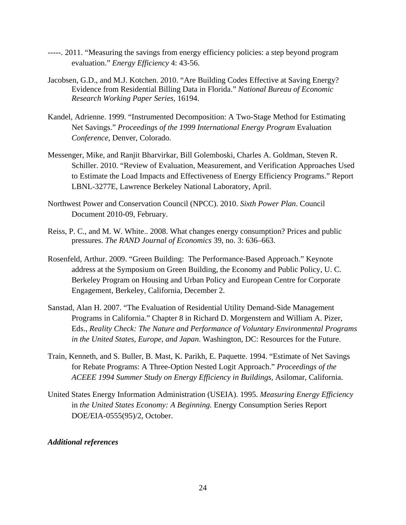- -----. 2011. "Measuring the savings from energy efficiency policies: a step beyond program evaluation." *Energy Efficiency* 4: 43-56.
- Jacobsen, G.D., and M.J. Kotchen. 2010. "Are Building Codes Effective at Saving Energy? Evidence from Residential Billing Data in Florida." *National Bureau of Economic Research Working Paper Series,* 16194.
- Kandel, Adrienne. 1999. "Instrumented Decomposition: A Two-Stage Method for Estimating Net Savings." *Proceedings of the 1999 International Energy Program* Evaluation *Conference*, Denver, Colorado.
- Messenger, Mike, and Ranjit Bharvirkar, Bill Golemboski, Charles A. Goldman, Steven R. Schiller. 2010. "Review of Evaluation, Measurement, and Verification Approaches Used to Estimate the Load Impacts and Effectiveness of Energy Efficiency Programs." Report LBNL-3277E, Lawrence Berkeley National Laboratory, April.
- Northwest Power and Conservation Council (NPCC). 2010. *Sixth Power Plan*. Council Document 2010-09, February.
- Reiss, P. C., and M. W. White.. 2008. What changes energy consumption? Prices and public pressures. *The RAND Journal of Economics* 39, no. 3: 636–663.
- Rosenfeld, Arthur. 2009. "Green Building: The Performance-Based Approach." Keynote address at the Symposium on Green Building, the Economy and Public Policy, U. C. Berkeley Program on Housing and Urban Policy and European Centre for Corporate Engagement, Berkeley, California, December 2.
- Sanstad, Alan H. 2007. "The Evaluation of Residential Utility Demand-Side Management Programs in California." Chapter 8 in Richard D. Morgenstern and William A. Pizer, Eds., *Reality Check: The Nature and Performance of Voluntary Environmental Programs in the United States, Europe, and Japan*. Washington, DC: Resources for the Future.
- Train, Kenneth, and S. Buller, B. Mast, K. Parikh, E. Paquette. 1994. "Estimate of Net Savings for Rebate Programs: A Three-Option Nested Logit Approach." *Proceedings of the ACEEE 1994 Summer Study on Energy Efficiency in Buildings,* Asilomar, California.
- United States Energy Information Administration (USEIA). 1995. *Measuring Energy Efficiency* in *the United States Economy: A Beginning.* Energy Consumption Series Report DOE/EIA-0555(95)/2, October.

#### *Additional references*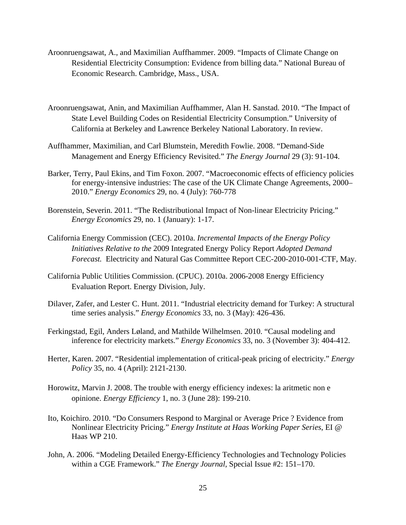- Aroonruengsawat, A., and Maximilian Auffhammer. 2009. "Impacts of Climate Change on Residential Electricity Consumption: Evidence from billing data." National Bureau of Economic Research. Cambridge, Mass., USA.
- Aroonruengsawat, Anin, and Maximilian Auffhammer, Alan H. Sanstad. 2010. "The Impact of State Level Building Codes on Residential Electricity Consumption." University of California at Berkeley and Lawrence Berkeley National Laboratory. In review.
- Auffhammer, Maximilian, and Carl Blumstein, Meredith Fowlie. 2008. "Demand-Side Management and Energy Efficiency Revisited." *The Energy Journal* 29 (3): 91-104.
- Barker, Terry, Paul Ekins, and Tim Foxon. 2007. "Macroeconomic effects of efficiency policies for energy-intensive industries: The case of the UK Climate Change Agreements, 2000– 2010." *Energy Economics* 29, no. 4 (July): 760-778
- Borenstein, Severin. 2011. "The Redistributional Impact of Non-linear Electricity Pricing." *Energy Economics* 29, no. 1 (January): 1-17.
- California Energy Commission (CEC). 2010a. *Incremental Impacts of the Energy Policy Initiatives Relative to the* 2009 Integrated Energy Policy Report *Adopted Demand Forecast.* Electricity and Natural Gas Committee Report CEC-200-2010-001-CTF, May.
- California Public Utilities Commission. (CPUC). 2010a. 2006-2008 Energy Efficiency Evaluation Report. Energy Division, July.
- Dilaver, Zafer, and Lester C. Hunt. 2011. "Industrial electricity demand for Turkey: A structural time series analysis." *Energy Economics* 33, no. 3 (May): 426-436.
- Ferkingstad, Egil, Anders Løland, and Mathilde Wilhelmsen. 2010. "Causal modeling and inference for electricity markets." *Energy Economics* 33, no. 3 (November 3): 404-412.
- Herter, Karen. 2007. "Residential implementation of critical-peak pricing of electricity." *Energy Policy* 35, no. 4 (April): 2121-2130.
- Horowitz, Marvin J. 2008. The trouble with energy efficiency indexes: la aritmetic non e opinione. *Energy Efficiency* 1, no. 3 (June 28): 199-210.
- Ito, Koichiro. 2010. "Do Consumers Respond to Marginal or Average Price ? Evidence from Nonlinear Electricity Pricing." *Energy Institute at Haas Working Paper Series*, EI @ Haas WP 210.
- John, A. 2006. "Modeling Detailed Energy-Efficiency Technologies and Technology Policies within a CGE Framework." *The Energy Journal*, Special Issue #2: 151–170.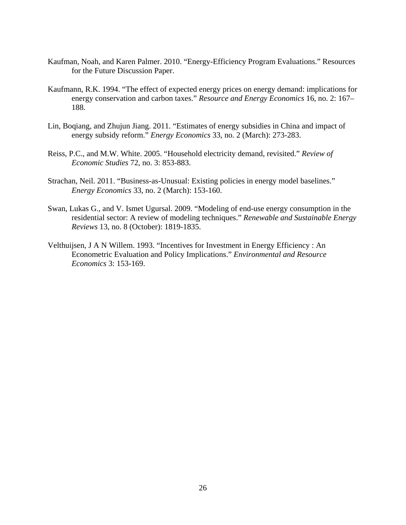- Kaufman, Noah, and Karen Palmer. 2010. "Energy-Efficiency Program Evaluations." Resources for the Future Discussion Paper.
- Kaufmann, R.K. 1994. "The effect of expected energy prices on energy demand: implications for energy conservation and carbon taxes." *Resource and Energy Economics* 16, no. 2: 167– 188.
- Lin, Boqiang, and Zhujun Jiang. 2011. "Estimates of energy subsidies in China and impact of energy subsidy reform." *Energy Economics* 33, no. 2 (March): 273-283.
- Reiss, P.C., and M.W. White. 2005. "Household electricity demand, revisited." *Review of Economic Studies* 72, no. 3: 853-883.
- Strachan, Neil. 2011. "Business-as-Unusual: Existing policies in energy model baselines." *Energy Economics* 33, no. 2 (March): 153-160.
- Swan, Lukas G., and V. Ismet Ugursal. 2009. "Modeling of end-use energy consumption in the residential sector: A review of modeling techniques." *Renewable and Sustainable Energy Reviews* 13, no. 8 (October): 1819-1835.
- Velthuijsen, J A N Willem. 1993. "Incentives for Investment in Energy Efficiency : An Econometric Evaluation and Policy Implications." *Environmental and Resource Economics* 3: 153-169.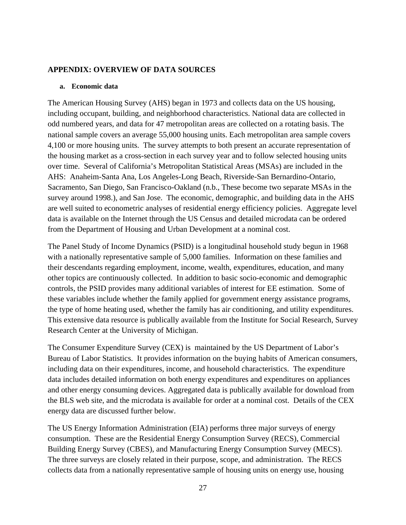### **APPENDIX: OVERVIEW OF DATA SOURCES**

#### **a. Economic data**

The American Housing Survey (AHS) began in 1973 and collects data on the US housing, including occupant, building, and neighborhood characteristics. National data are collected in odd numbered years, and data for 47 metropolitan areas are collected on a rotating basis. The national sample covers an average 55,000 housing units. Each metropolitan area sample covers 4,100 or more housing units. The survey attempts to both present an accurate representation of the housing market as a cross-section in each survey year and to follow selected housing units over time. Several of California's Metropolitan Statistical Areas (MSAs) are included in the AHS: Anaheim-Santa Ana, Los Angeles-Long Beach, Riverside-San Bernardino-Ontario, Sacramento, San Diego, San Francisco-Oakland (n.b., These become two separate MSAs in the survey around 1998.), and San Jose. The economic, demographic, and building data in the AHS are well suited to econometric analyses of residential energy efficiency policies. Aggregate level data is available on the Internet through the US Census and detailed microdata can be ordered from the Department of Housing and Urban Development at a nominal cost.

The Panel Study of Income Dynamics (PSID) is a longitudinal household study begun in 1968 with a nationally representative sample of 5,000 families. Information on these families and their descendants regarding employment, income, wealth, expenditures, education, and many other topics are continuously collected. In addition to basic socio-economic and demographic controls, the PSID provides many additional variables of interest for EE estimation. Some of these variables include whether the family applied for government energy assistance programs, the type of home heating used, whether the family has air conditioning, and utility expenditures. This extensive data resource is publically available from the Institute for Social Research, Survey Research Center at the University of Michigan.

The Consumer Expenditure Survey (CEX) is maintained by the US Department of Labor's Bureau of Labor Statistics. It provides information on the buying habits of American consumers, including data on their expenditures, income, and household characteristics. The expenditure data includes detailed information on both energy expenditures and expenditures on appliances and other energy consuming devices. Aggregated data is publically available for download from the BLS web site, and the microdata is available for order at a nominal cost. Details of the CEX energy data are discussed further below.

The US Energy Information Administration (EIA) performs three major surveys of energy consumption. These are the Residential Energy Consumption Survey (RECS), Commercial Building Energy Survey (CBES), and Manufacturing Energy Consumption Survey (MECS). The three surveys are closely related in their purpose, scope, and administration. The RECS collects data from a nationally representative sample of housing units on energy use, housing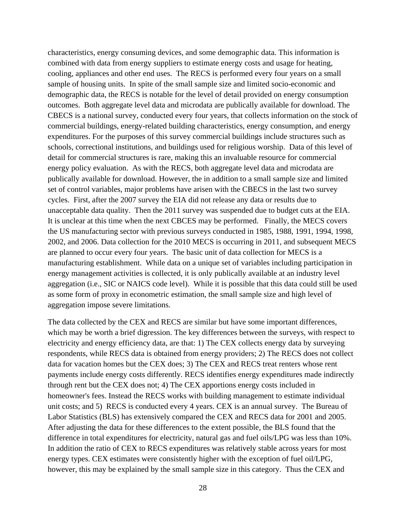characteristics, energy consuming devices, and some demographic data. This information is combined with data from energy suppliers to estimate energy costs and usage for heating, cooling, appliances and other end uses. The RECS is performed every four years on a small sample of housing units. In spite of the small sample size and limited socio-economic and demographic data, the RECS is notable for the level of detail provided on energy consumption outcomes. Both aggregate level data and microdata are publically available for download. The CBECS is a national survey, conducted every four years, that collects information on the stock of commercial buildings, energy-related building characteristics, energy consumption, and energy expenditures. For the purposes of this survey commercial buildings include structures such as schools, correctional institutions, and buildings used for religious worship. Data of this level of detail for commercial structures is rare, making this an invaluable resource for commercial energy policy evaluation. As with the RECS, both aggregate level data and microdata are publically available for download. However, the in addition to a small sample size and limited set of control variables, major problems have arisen with the CBECS in the last two survey cycles. First, after the 2007 survey the EIA did not release any data or results due to unacceptable data quality. Then the 2011 survey was suspended due to budget cuts at the EIA. It is unclear at this time when the next CBCES may be performed. Finally, the MECS covers the US manufacturing sector with previous surveys conducted in 1985, 1988, 1991, 1994, 1998, 2002, and 2006. Data collection for the 2010 MECS is occurring in 2011, and subsequent MECS are planned to occur every four years. The basic unit of data collection for MECS is a manufacturing establishment. While data on a unique set of variables including participation in energy management activities is collected, it is only publically available at an industry level aggregation (i.e., SIC or NAICS code level). While it is possible that this data could still be used as some form of proxy in econometric estimation, the small sample size and high level of aggregation impose severe limitations.

The data collected by the CEX and RECS are similar but have some important differences, which may be worth a brief digression. The key differences between the surveys, with respect to electricity and energy efficiency data, are that: 1) The CEX collects energy data by surveying respondents, while RECS data is obtained from energy providers; 2) The RECS does not collect data for vacation homes but the CEX does; 3) The CEX and RECS treat renters whose rent payments include energy costs differently. RECS identifies energy expenditures made indirectly through rent but the CEX does not; 4) The CEX apportions energy costs included in homeowner's fees. Instead the RECS works with building management to estimate individual unit costs; and 5) RECS is conducted every 4 years. CEX is an annual survey. The Bureau of Labor Statistics (BLS) has extensively compared the CEX and RECS data for 2001 and 2005. After adjusting the data for these differences to the extent possible, the BLS found that the difference in total expenditures for electricity, natural gas and fuel oils/LPG was less than 10%. In addition the ratio of CEX to RECS expenditures was relatively stable across years for most energy types. CEX estimates were consistently higher with the exception of fuel oil/LPG, however, this may be explained by the small sample size in this category. Thus the CEX and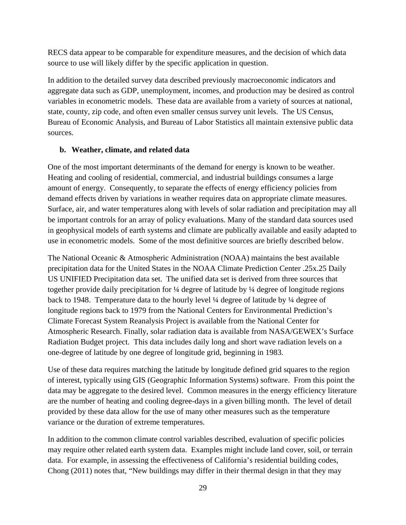RECS data appear to be comparable for expenditure measures, and the decision of which data source to use will likely differ by the specific application in question.

In addition to the detailed survey data described previously macroeconomic indicators and aggregate data such as GDP, unemployment, incomes, and production may be desired as control variables in econometric models. These data are available from a variety of sources at national, state, county, zip code, and often even smaller census survey unit levels. The US Census, Bureau of Economic Analysis, and Bureau of Labor Statistics all maintain extensive public data sources.

### **b. Weather, climate, and related data**

One of the most important determinants of the demand for energy is known to be weather. Heating and cooling of residential, commercial, and industrial buildings consumes a large amount of energy. Consequently, to separate the effects of energy efficiency policies from demand effects driven by variations in weather requires data on appropriate climate measures. Surface, air, and water temperatures along with levels of solar radiation and precipitation may all be important controls for an array of policy evaluations. Many of the standard data sources used in geophysical models of earth systems and climate are publically available and easily adapted to use in econometric models. Some of the most definitive sources are briefly described below.

The National Oceanic & Atmospheric Administration (NOAA) maintains the best available precipitation data for the United States in the NOAA Climate Prediction Center .25x.25 Daily US UNIFIED Precipitation data set. The unified data set is derived from three sources that together provide daily precipitation for ¼ degree of latitude by ¼ degree of longitude regions back to 1948. Temperature data to the hourly level ¼ degree of latitude by ¼ degree of longitude regions back to 1979 from the National Centers for Environmental Prediction's Climate Forecast System Reanalysis Project is available from the National Center for Atmospheric Research. Finally, solar radiation data is available from NASA/GEWEX's Surface Radiation Budget project. This data includes daily long and short wave radiation levels on a one-degree of latitude by one degree of longitude grid, beginning in 1983.

Use of these data requires matching the latitude by longitude defined grid squares to the region of interest, typically using GIS (Geographic Information Systems) software. From this point the data may be aggregate to the desired level. Common measures in the energy efficiency literature are the number of heating and cooling degree-days in a given billing month. The level of detail provided by these data allow for the use of many other measures such as the temperature variance or the duration of extreme temperatures.

In addition to the common climate control variables described, evaluation of specific policies may require other related earth system data. Examples might include land cover, soil, or terrain data. For example, in assessing the effectiveness of California's residential building codes, Chong (2011) notes that, "New buildings may differ in their thermal design in that they may